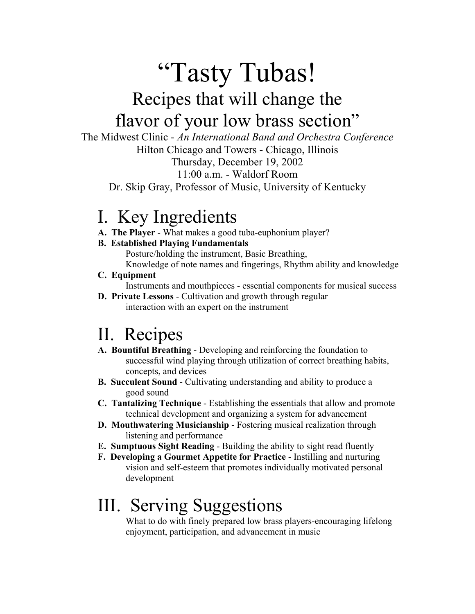# "Tasty Tubas! Recipes that will change the flavor of your low brass section"

The Midwest Clinic - *An International Band and Orchestra Conference* Hilton Chicago and Towers - Chicago, Illinois

Thursday, December 19, 2002

11:00 a.m. - Waldorf Room

Dr. Skip Gray, Professor of Music, University of Kentucky

### I. Key Ingredients

 **A. The Player** - What makes a good tuba-euphonium player?

### **B. Established Playing Fundamentals**

 Posture/holding the instrument, Basic Breathing, Knowledge of note names and fingerings, Rhythm ability and knowledge

 **C. Equipment**

Instruments and mouthpieces - essential components for musical success

 **D. Private Lessons** - Cultivation and growth through regular interaction with an expert on the instrument

# II. Recipes

- **A. Bountiful Breathing** Developing and reinforcing the foundation to successful wind playing through utilization of correct breathing habits, concepts, and devices
- **B. Succulent Sound** Cultivating understanding and ability to produce a good sound
- **C. Tantalizing Technique** Establishing the essentials that allow and promote technical development and organizing a system for advancement
- **D. Mouthwatering Musicianship** Fostering musical realization through listening and performance
- **E. Sumptuous Sight Reading** Building the ability to sight read fluently
- **F. Developing a Gourmet Appetite for Practice** Instilling and nurturing vision and self-esteem that promotes individually motivated personal development

## III. Serving Suggestions

 What to do with finely prepared low brass players-encouraging lifelong enjoyment, participation, and advancement in music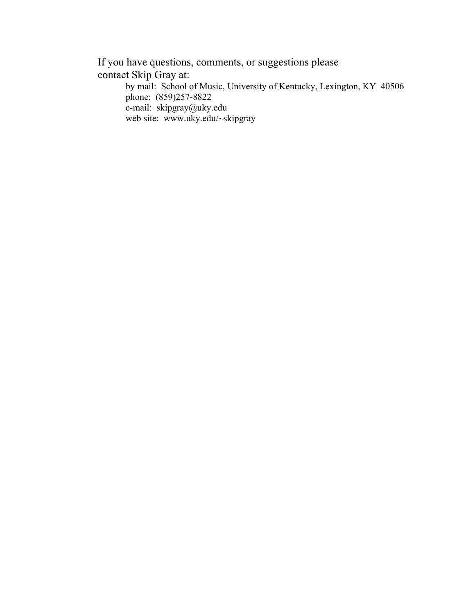If you have questions, comments, or suggestions please contact Skip Gray at: by mail: School of Music, University of Kentucky, Lexington, KY 40506 phone: (859)257-8822

e-mail: skipgray@uky.edu

web site: www.uky.edu/~skipgray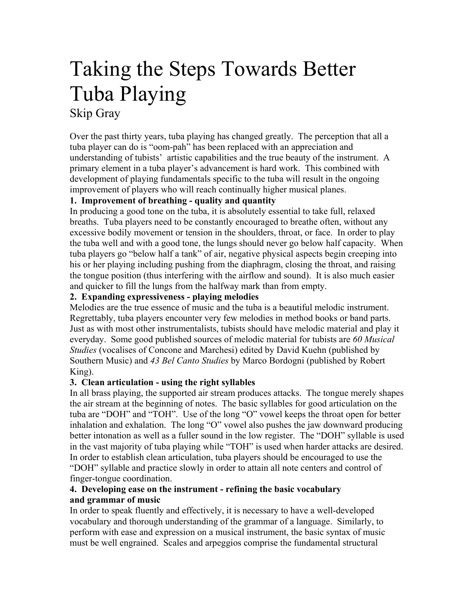### Taking the Steps Towards Better Tuba Playing Skip Gray

Over the past thirty years, tuba playing has changed greatly. The perception that all a tuba player can do is "oom-pah" has been replaced with an appreciation and understanding of tubists' artistic capabilities and the true beauty of the instrument. A primary element in a tuba player's advancement is hard work. This combined with development of playing fundamentals specific to the tuba will result in the ongoing improvement of players who will reach continually higher musical planes.

#### **1. Improvement of breathing - quality and quantity**

In producing a good tone on the tuba, it is absolutely essential to take full, relaxed breaths. Tuba players need to be constantly encouraged to breathe often, without any excessive bodily movement or tension in the shoulders, throat, or face. In order to play the tuba well and with a good tone, the lungs should never go below half capacity. When tuba players go "below half a tank" of air, negative physical aspects begin creeping into his or her playing including pushing from the diaphragm, closing the throat, and raising the tongue position (thus interfering with the airflow and sound). It is also much easier and quicker to fill the lungs from the halfway mark than from empty.

#### **2. Expanding expressiveness - playing melodies**

Melodies are the true essence of music and the tuba is a beautiful melodic instrument. Regrettably, tuba players encounter very few melodies in method books or band parts. Just as with most other instrumentalists, tubists should have melodic material and play it everyday. Some good published sources of melodic material for tubists are *60 Musical Studies* (vocalises of Concone and Marchesi) edited by David Kuehn (published by Southern Music) and *43 Bel Canto Studies* by Marco Bordogni (published by Robert King).

#### **3. Clean articulation - using the right syllables**

In all brass playing, the supported air stream produces attacks. The tongue merely shapes the air stream at the beginning of notes. The basic syllables for good articulation on the tuba are "DOH" and "TOH". Use of the long "O" vowel keeps the throat open for better inhalation and exhalation. The long "O" vowel also pushes the jaw downward producing better intonation as well as a fuller sound in the low register. The "DOH" syllable is used in the vast majority of tuba playing while "TOH" is used when harder attacks are desired. In order to establish clean articulation, tuba players should be encouraged to use the "DOH" syllable and practice slowly in order to attain all note centers and control of finger-tongue coordination.

#### **4. Developing ease on the instrument - refining the basic vocabulary and grammar of music**

In order to speak fluently and effectively, it is necessary to have a well-developed vocabulary and thorough understanding of the grammar of a language. Similarly, to perform with ease and expression on a musical instrument, the basic syntax of music must be well engrained. Scales and arpeggios comprise the fundamental structural